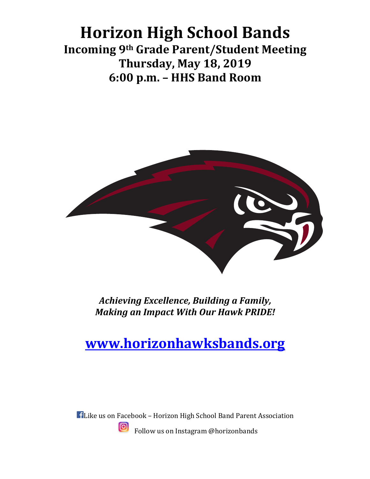## **Horizon High School Bands Incoming 9th Grade Parent/Student Meeting Thursday, May 18, 2019 6:00 p.m. – HHS Band Room**



Achieving Excellence, Building a Family, *Making an Impact With Our Hawk PRIDE!* 

## **www.horizonhawksbands.org**

**H** Like us on Facebook - Horizon High School Band Parent Association <u>ြဝ</u> Follow us on Instagram @horizonbands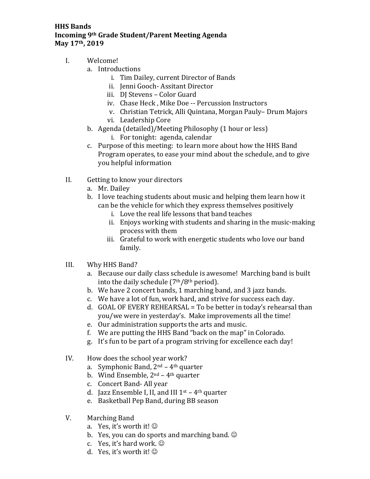## **HHS Bands Incoming 9th Grade Student/Parent Meeting Agenda** May 17<sup>th</sup>, 2019

- I. Welcome!
	- a. Introductions
		- i. Tim Dailey, current Director of Bands
		- ii. Jenni Gooch- Assitant Director
		- iii. DJ Stevens Color Guard
		- iv. Chase Heck, Mike Doe -- Percussion Instructors
		- v. Christian Tetrick, Alli Quintana, Morgan Pauly- Drum Majors
		- vi. Leadership Core
	- b. Agenda (detailed)/Meeting Philosophy (1 hour or less) i. For tonight: agenda, calendar
	- c. Purpose of this meeting: to learn more about how the HHS Band Program operates, to ease your mind about the schedule, and to give you helpful information
- II. Getting to know your directors
	- a. Mr. Dailey
	- b. I love teaching students about music and helping them learn how it can be the vehicle for which they express themselves positively
		- i. Love the real life lessons that band teaches
		- ii. Enjoys working with students and sharing in the music-making process with them
		- iii. Grateful to work with energetic students who love our band family.
- III. Why HHS Band?
	- a. Because our daily class schedule is awesome! Marching band is built into the daily schedule  $(7<sup>th</sup>/8<sup>th</sup>$  period).
	- b. We have 2 concert bands, 1 marching band, and 3 jazz bands.
	- c. We have a lot of fun, work hard, and strive for success each day.
	- d. GOAL OF EVERY REHEARSAL = To be better in today's rehearsal than you/we were in yesterday's. Make improvements all the time!
	- e. Our administration supports the arts and music.
	- f. We are putting the HHS Band "back on the map" in Colorado.
	- g. It's fun to be part of a program striving for excellence each day!
- IV. How does the school year work?
	- a. Symphonic Band,  $2^{nd}$  4<sup>th</sup> quarter
	- b. Wind Ensemble,  $2^{nd} 4^{th}$  quarter
	- c. Concert Band- All year
	- d. Jazz Ensemble I, II, and III  $1<sup>st</sup>$  4<sup>th</sup> quarter
	- e. Basketball Pep Band, during BB season
- V. Marching Band
	- a. Yes, it's worth it!  $\odot$
	- b. Yes, you can do sports and marching band.  $\odot$
	- c. Yes, it's hard work.  $\odot$
	- d. Yes, it's worth it!  $\odot$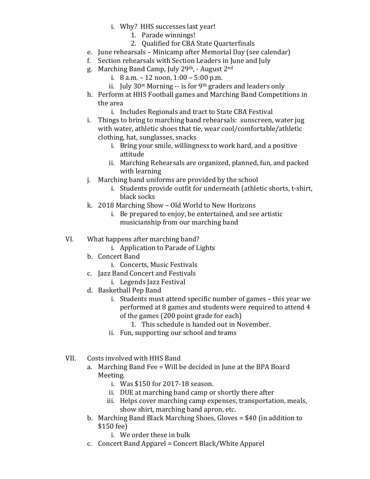- i. Why? HHS successes last year!
	- 1. Parade winnings!
	- 2. Oualified for CBA State Quarterfinals
- e. June rehearsals Minicamp after Memorial Day (see calendar)
- f. Section rehearsals with Section Leaders in June and July
- g. Marching Band Camp, July 29th, August  $2<sup>nd</sup>$ 
	- i.  $8$  a.m.  $-12$  noon,  $1:00 5:00$  p.m.
	- ii. July  $30<sup>st</sup>$  Morning -- is for 9<sup>th</sup> graders and leaders only
- h. Perform at HHS Football games and Marching Band Competitions in the area
	- i. Includes Regionals and tract to State CBA Festival
- i. Things to bring to marching band rehearsals: sunscreen, water jug with water, athletic shoes that tie, wear cool/comfortable/athletic clothing, hat, sunglasses, snacks
	- i. Bring your smile, willingness to work hard, and a positive attitude
	- ii. Marching Rehearsals are organized, planned, fun, and packed with learning
- j. Marching band uniforms are provided by the school
	- i. Students provide outfit for underneath (athletic shorts, t-shirt, black socks
- k. 2018 Marching Show  $-$  Old World to New Horizons
	- i. Be prepared to enjoy, be entertained, and see artistic musicianship from our marching band
- VI. What happens after marching band?
	- i. Application to Parade of Lights
	- b. Concert Band
		- i. Concerts, Music Festivals
	- c. Jazz Band Concert and Festivals
		- i. Legends Jazz Festival
	- d. Basketball Pep Band
		- i. Students must attend specific number of games this year we performed at 8 games and students were required to attend 4 of the games (200 point grade for each)
			- 1. This schedule is handed out in November.
		- ii. Fun, supporting our school and teams
- VII. Costs involved with HHS Band
	- a. Marching Band Fee = Will be decided in June at the BPA Board Meeting.
		- i. Was \$150 for 2017-18 season.
		- ii. DUE at marching band camp or shortly there after
		- iii. Helps cover marching camp expenses, transportation, meals, show shirt, marching band apron, etc.
	- b. Marching Band Black Marching Shoes, Gloves  $= $40$  (in addition to \$150 fee)
		- i. We order these in bulk
	- $c.$  Concert Band Apparel = Concert Black/White Apparel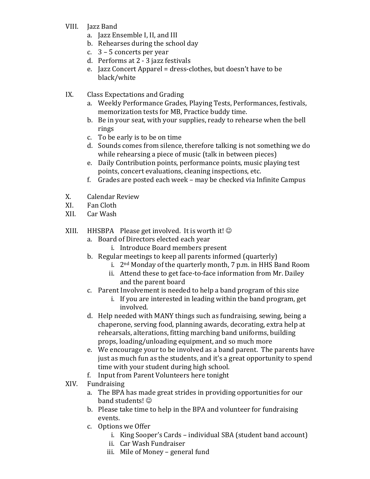- VIII. Jazz Band
	- a. Jazz Ensemble I, II, and III
	- b. Rehearses during the school day
	- c.  $3 5$  concerts per year
	- d. Performs at 2 3 jazz festivals
	- e. Jazz Concert Apparel = dress-clothes, but doesn't have to be black/white
- IX. Class Expectations and Grading
	- a. Weekly Performance Grades, Playing Tests, Performances, festivals, memorization tests for MB, Practice buddy time.
	- b. Be in your seat, with your supplies, ready to rehearse when the bell rings
	- c. To be early is to be on time
	- d. Sounds comes from silence, therefore talking is not something we do while rehearsing a piece of music (talk in between pieces)
	- e. Daily Contribution points, performance points, music playing test points, concert evaluations, cleaning inspections, etc.
	- f. Grades are posted each week  $-$  may be checked via Infinite Campus
- X. Calendar Review
- XI. Fan Cloth
- XII. Car Wash
- XIII. HHSBPA Please get involved. It is worth it!  $\odot$ 
	- a. Board of Directors elected each year
		- i. Introduce Board members present
	- b. Regular meetings to keep all parents informed (quarterly)
		- i.  $2<sup>nd</sup>$  Monday of the quarterly month, 7 p.m. in HHS Band Room
		- ii. Attend these to get face-to-face information from Mr. Dailev and the parent board
	- c. Parent Involvement is needed to help a band program of this size
		- i. If you are interested in leading within the band program, get involved.
	- d. Help needed with MANY things such as fundraising, sewing, being a chaperone, serving food, planning awards, decorating, extra help at rehearsals, alterations, fitting marching band uniforms, building props, loading/unloading equipment, and so much more
	- e. We encourage your to be involved as a band parent. The parents have just as much fun as the students, and it's a great opportunity to spend time with your student during high school.
	- f. Input from Parent Volunteers here tonight
- XIV. Fundraising
	- a. The BPA has made great strides in providing opportunities for our band students!  $\odot$
	- b. Please take time to help in the BPA and volunteer for fundraising events.
	- c. Options we Offer
		- i. King Sooper's Cards individual SBA (student band account)
		- ii. Car Wash Fundraiser
		- iii. Mile of Money general fund